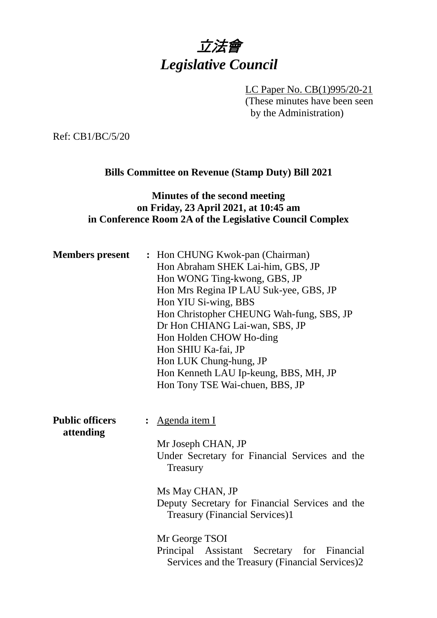# 立法會 *Legislative Council*

LC Paper No. CB(1)995/20-21 (These minutes have been seen by the Administration)

Ref: CB1/BC/5/20

#### **Bills Committee on Revenue (Stamp Duty) Bill 2021**

#### **Minutes of the second meeting on Friday, 23 April 2021, at 10:45 am in Conference Room 2A of the Legislative Council Complex**

| <b>Members</b> present              | : Hon CHUNG Kwok-pan (Chairman)<br>Hon Abraham SHEK Lai-him, GBS, JP<br>Hon WONG Ting-kwong, GBS, JP<br>Hon Mrs Regina IP LAU Suk-yee, GBS, JP<br>Hon YIU Si-wing, BBS<br>Hon Christopher CHEUNG Wah-fung, SBS, JP<br>Dr Hon CHIANG Lai-wan, SBS, JP<br>Hon Holden CHOW Ho-ding<br>Hon SHIU Ka-fai, JP<br>Hon LUK Chung-hung, JP<br>Hon Kenneth LAU Ip-keung, BBS, MH, JP<br>Hon Tony TSE Wai-chuen, BBS, JP |
|-------------------------------------|--------------------------------------------------------------------------------------------------------------------------------------------------------------------------------------------------------------------------------------------------------------------------------------------------------------------------------------------------------------------------------------------------------------|
| <b>Public officers</b><br>attending | Agenda item I<br>Mr Joseph CHAN, JP<br>Under Secretary for Financial Services and the<br>Treasury<br>Ms May CHAN, JP<br>Deputy Secretary for Financial Services and the<br><b>Treasury (Financial Services)1</b><br>Mr George TSOI<br>Principal Assistant Secretary for Financial<br>Services and the Treasury (Financial Services)2                                                                         |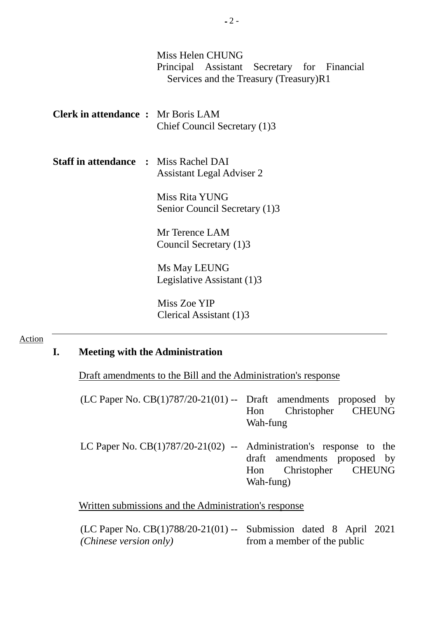|                                              | Miss Helen CHUNG<br>Principal Assistant Secretary for Financial<br>Services and the Treasury (Treasury)R1 |
|----------------------------------------------|-----------------------------------------------------------------------------------------------------------|
| <b>Clerk in attendance :</b> Mr Boris LAM    | Chief Council Secretary (1)3                                                                              |
| <b>Staff in attendance : Miss Rachel DAI</b> | <b>Assistant Legal Adviser 2</b>                                                                          |
|                                              | Miss Rita YUNG<br>Senior Council Secretary (1)3                                                           |
|                                              | Mr Terence LAM<br>Council Secretary (1)3                                                                  |
|                                              | Ms May LEUNG<br>Legislative Assistant (1)3                                                                |
|                                              | Miss Zoe YIP                                                                                              |

Clerical Assistant (1)3

#### Action

# **I. Meeting with the Administration**

Draft amendments to the Bill and the Administration's response

|  | Wah-fung | (LC Paper No. $CB(1)787/20-21(01)$ -- Draft amendments proposed by<br>Hon Christopher CHEUNG |
|--|----------|----------------------------------------------------------------------------------------------|

LC Paper No. CB(1)787/20-21(02) -- Administration's response to the draft amendments proposed by<br>Hon Christopher CHEUNG Christopher Wah-fung)

Written submissions and the Administration's response

| (LC Paper No. CB $(1)788/20-21(01)$ -- Submission dated 8 April 2021 |                             |  |  |
|----------------------------------------------------------------------|-----------------------------|--|--|
| (Chinese version only)                                               | from a member of the public |  |  |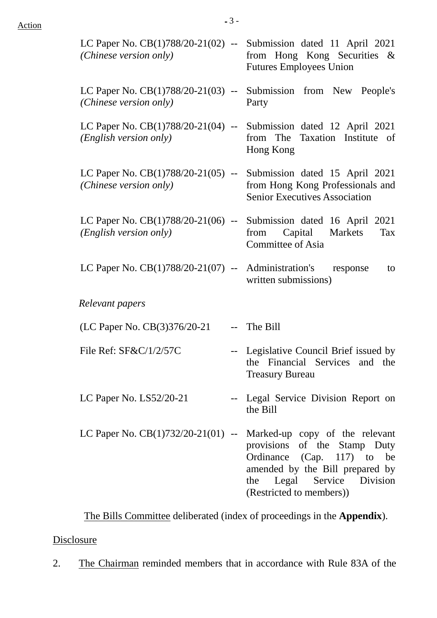| (Chinese version only)                                         | LC Paper No. $CB(1)788/20-21(02)$ -- Submission dated 11 April 2021<br>from Hong Kong Securities &<br><b>Futures Employees Union</b>                                                                                           |
|----------------------------------------------------------------|--------------------------------------------------------------------------------------------------------------------------------------------------------------------------------------------------------------------------------|
| (Chinese version only)                                         | LC Paper No. $CB(1)788/20-21(03)$ -- Submission from New People's<br>Party                                                                                                                                                     |
| (English version only)                                         | LC Paper No. $CB(1)788/20-21(04)$ -- Submission dated 12 April 2021<br>from The Taxation Institute of<br>Hong Kong                                                                                                             |
| (Chinese version only)                                         | LC Paper No. $CB(1)788/20-21(05)$ -- Submission dated 15 April 2021<br>from Hong Kong Professionals and<br><b>Senior Executives Association</b>                                                                                |
| ( <i>English version only</i> )                                | LC Paper No. $CB(1)788/20-21(06)$ -- Submission dated 16 April 2021<br>Capital Markets<br>from<br>Tax<br>Committee of Asia                                                                                                     |
| LC Paper No. $CB(1)788/20-21(07)$ -- Administration's response | to<br>written submissions)                                                                                                                                                                                                     |
| Relevant papers                                                |                                                                                                                                                                                                                                |
| (LC Paper No. CB(3)376/20-21                                   | -- The Bill                                                                                                                                                                                                                    |
| File Ref: SF&C/1/2/57C                                         | -- Legislative Council Brief issued by<br>the Financial Services and the<br><b>Treasury Bureau</b>                                                                                                                             |
| LC Paper No. $LS52/20-21$                                      | -- Legal Service Division Report on<br>the Bill                                                                                                                                                                                |
|                                                                | LC Paper No. $CB(1)732/20-21(01)$ -- Marked-up copy of the relevant<br>provisions of the Stamp Duty<br>Ordinance (Cap. 117) to be<br>amended by the Bill prepared by<br>the Legal Service Division<br>(Restricted to members)) |

The Bills Committee deliberated (index of proceedings in the **Appendix**).

### **Disclosure**

2. The Chairman reminded members that in accordance with Rule 83A of the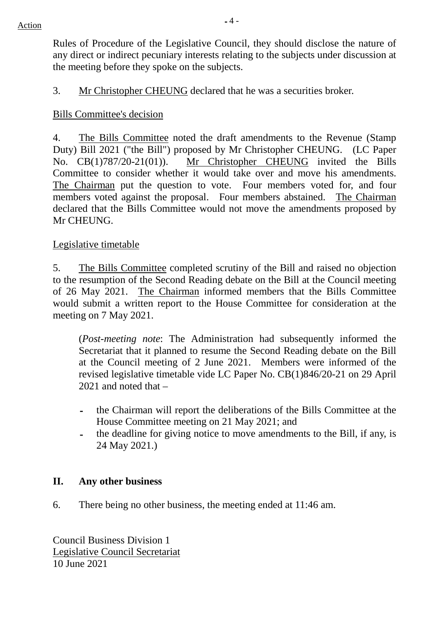Rules of Procedure of the Legislative Council, they should disclose the nature of any direct or indirect pecuniary interests relating to the subjects under discussion at the meeting before they spoke on the subjects.

3. Mr Christopher CHEUNG declared that he was a securities broker.

# Bills Committee's decision

4. The Bills Committee noted the draft amendments to the Revenue (Stamp Duty) Bill 2021 ("the Bill") proposed by Mr Christopher CHEUNG. (LC Paper No. CB(1)787/20-21(01)). Mr Christopher CHEUNG invited the Bills Committee to consider whether it would take over and move his amendments. The Chairman put the question to vote. Four members voted for, and four members voted against the proposal. Four members abstained. The Chairman declared that the Bills Committee would not move the amendments proposed by Mr CHEUNG.

## Legislative timetable

5. The Bills Committee completed scrutiny of the Bill and raised no objection to the resumption of the Second Reading debate on the Bill at the Council meeting of 26 May 2021. The Chairman informed members that the Bills Committee would submit a written report to the House Committee for consideration at the meeting on 7 May 2021.

(*Post-meeting note*: The Administration had subsequently informed the Secretariat that it planned to resume the Second Reading debate on the Bill at the Council meeting of 2 June 2021. Members were informed of the revised legislative timetable vide LC Paper No. CB(1)846/20-21 on 29 April 2021 and noted that –

- the Chairman will report the deliberations of the Bills Committee at the House Committee meeting on 21 May 2021; and
- the deadline for giving notice to move amendments to the Bill, if any, is 24 May 2021.)

### **II. Any other business**

6. There being no other business, the meeting ended at 11:46 am.

Council Business Division 1 Legislative Council Secretariat 10 June 2021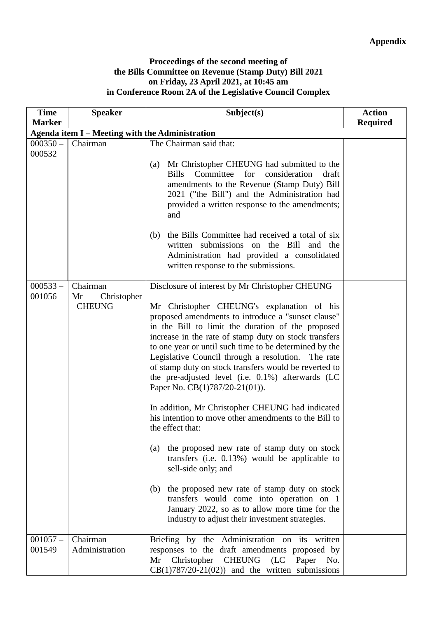#### **Proceedings of the second meeting of the Bills Committee on Revenue (Stamp Duty) Bill 2021 on Friday, 23 April 2021, at 10:45 am in Conference Room 2A of the Legislative Council Complex**

| <b>Time</b>          | <b>Speaker</b>                                  | Subject(s)                                                                                                                                                                                                                                                                                                                                                                                                                                                                                                                                                                | <b>Action</b>   |
|----------------------|-------------------------------------------------|---------------------------------------------------------------------------------------------------------------------------------------------------------------------------------------------------------------------------------------------------------------------------------------------------------------------------------------------------------------------------------------------------------------------------------------------------------------------------------------------------------------------------------------------------------------------------|-----------------|
| <b>Marker</b>        |                                                 |                                                                                                                                                                                                                                                                                                                                                                                                                                                                                                                                                                           | <b>Required</b> |
|                      | Agenda item I - Meeting with the Administration |                                                                                                                                                                                                                                                                                                                                                                                                                                                                                                                                                                           |                 |
| $000350 -$<br>000532 | Chairman                                        | The Chairman said that:<br>Mr Christopher CHEUNG had submitted to the<br>(a)<br>Committee<br>for<br>consideration<br><b>Bills</b><br>draft<br>amendments to the Revenue (Stamp Duty) Bill<br>2021 ("the Bill") and the Administration had<br>provided a written response to the amendments;<br>and<br>the Bills Committee had received a total of six<br>(b)<br>written submissions on the Bill<br>and the<br>Administration had provided a consolidated                                                                                                                  |                 |
| $000533 -$<br>001056 | Chairman<br>Mr<br>Christopher<br><b>CHEUNG</b>  | written response to the submissions.<br>Disclosure of interest by Mr Christopher CHEUNG<br>Mr Christopher CHEUNG's explanation of his<br>proposed amendments to introduce a "sunset clause"<br>in the Bill to limit the duration of the proposed<br>increase in the rate of stamp duty on stock transfers<br>to one year or until such time to be determined by the<br>Legislative Council through a resolution. The rate<br>of stamp duty on stock transfers would be reverted to<br>the pre-adjusted level (i.e. 0.1%) afterwards (LC<br>Paper No. CB(1)787/20-21(01)). |                 |
|                      |                                                 | In addition, Mr Christopher CHEUNG had indicated<br>his intention to move other amendments to the Bill to<br>the effect that:<br>the proposed new rate of stamp duty on stock<br>(a)<br>transfers (i.e. $0.13\%$ ) would be applicable to<br>sell-side only; and<br>the proposed new rate of stamp duty on stock<br>(b)<br>transfers would come into operation on 1<br>January 2022, so as to allow more time for the<br>industry to adjust their investment strategies.                                                                                                  |                 |
| $001057 -$<br>001549 | Chairman<br>Administration                      | Briefing by the Administration on its written<br>responses to the draft amendments proposed by<br>CHEUNG<br>Mr<br>Christopher<br>(LC)<br>Paper<br>No.<br>$CB(1)787/20-21(02))$ and the written submissions                                                                                                                                                                                                                                                                                                                                                                |                 |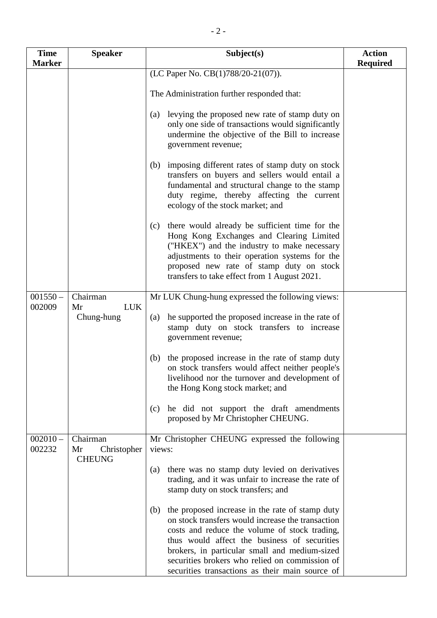| <b>Time</b>          | <b>Speaker</b>                                 | Subject(s)                                                                                                                                                                                                                                                                                                                                                         | <b>Action</b>   |
|----------------------|------------------------------------------------|--------------------------------------------------------------------------------------------------------------------------------------------------------------------------------------------------------------------------------------------------------------------------------------------------------------------------------------------------------------------|-----------------|
| <b>Marker</b>        |                                                |                                                                                                                                                                                                                                                                                                                                                                    | <b>Required</b> |
|                      |                                                | (LC Paper No. CB(1)788/20-21(07)).<br>The Administration further responded that:                                                                                                                                                                                                                                                                                   |                 |
|                      |                                                | levying the proposed new rate of stamp duty on<br>(a)<br>only one side of transactions would significantly<br>undermine the objective of the Bill to increase<br>government revenue;                                                                                                                                                                               |                 |
|                      |                                                | imposing different rates of stamp duty on stock<br>(b)<br>transfers on buyers and sellers would entail a<br>fundamental and structural change to the stamp<br>duty regime, thereby affecting the current<br>ecology of the stock market; and                                                                                                                       |                 |
|                      |                                                | there would already be sufficient time for the<br>(c)<br>Hong Kong Exchanges and Clearing Limited<br>("HKEX") and the industry to make necessary<br>adjustments to their operation systems for the<br>proposed new rate of stamp duty on stock<br>transfers to take effect from 1 August 2021.                                                                     |                 |
| $001550 -$           | Chairman                                       | Mr LUK Chung-hung expressed the following views:                                                                                                                                                                                                                                                                                                                   |                 |
| 002009               | <b>LUK</b><br>Mr<br>Chung-hung                 | he supported the proposed increase in the rate of<br>(a)<br>stamp duty on stock transfers to increase<br>government revenue;                                                                                                                                                                                                                                       |                 |
|                      |                                                | the proposed increase in the rate of stamp duty<br>(b)<br>on stock transfers would affect neither people's<br>livelihood nor the turnover and development of<br>the Hong Kong stock market; and                                                                                                                                                                    |                 |
|                      |                                                | he did not support the draft amendments<br>(c)<br>proposed by Mr Christopher CHEUNG.                                                                                                                                                                                                                                                                               |                 |
| $002010 -$<br>002232 | Chairman<br>Mr<br>Christopher<br><b>CHEUNG</b> | Mr Christopher CHEUNG expressed the following<br>views:                                                                                                                                                                                                                                                                                                            |                 |
|                      |                                                | there was no stamp duty levied on derivatives<br>(a)<br>trading, and it was unfair to increase the rate of<br>stamp duty on stock transfers; and                                                                                                                                                                                                                   |                 |
|                      |                                                | the proposed increase in the rate of stamp duty<br>(b)<br>on stock transfers would increase the transaction<br>costs and reduce the volume of stock trading,<br>thus would affect the business of securities<br>brokers, in particular small and medium-sized<br>securities brokers who relied on commission of<br>securities transactions as their main source of |                 |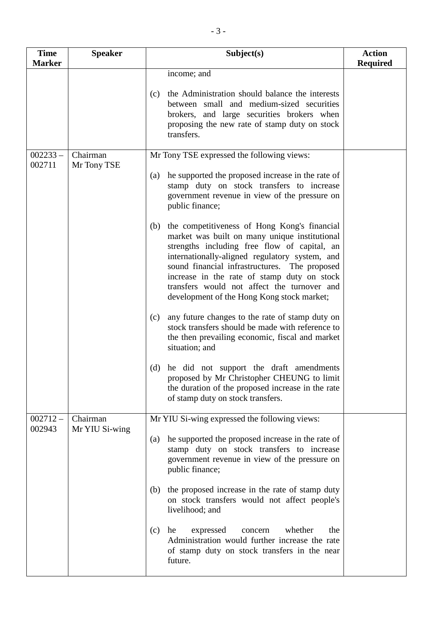| <b>Time</b>          | <b>Speaker</b>          | Subject(s)                                                                                                                                                                                                                                                                                                                                                                                          | <b>Action</b>   |
|----------------------|-------------------------|-----------------------------------------------------------------------------------------------------------------------------------------------------------------------------------------------------------------------------------------------------------------------------------------------------------------------------------------------------------------------------------------------------|-----------------|
| <b>Marker</b>        |                         |                                                                                                                                                                                                                                                                                                                                                                                                     | <b>Required</b> |
|                      |                         | income; and<br>the Administration should balance the interests<br>(c)<br>between small and medium-sized securities<br>brokers, and large securities brokers when<br>proposing the new rate of stamp duty on stock<br>transfers.                                                                                                                                                                     |                 |
| $002233 -$<br>002711 | Chairman<br>Mr Tony TSE | Mr Tony TSE expressed the following views:                                                                                                                                                                                                                                                                                                                                                          |                 |
|                      |                         | he supported the proposed increase in the rate of<br>(a)<br>stamp duty on stock transfers to increase<br>government revenue in view of the pressure on<br>public finance;                                                                                                                                                                                                                           |                 |
|                      |                         | the competitiveness of Hong Kong's financial<br>(b)<br>market was built on many unique institutional<br>strengths including free flow of capital, an<br>internationally-aligned regulatory system, and<br>sound financial infrastructures. The proposed<br>increase in the rate of stamp duty on stock<br>transfers would not affect the turnover and<br>development of the Hong Kong stock market; |                 |
|                      |                         | any future changes to the rate of stamp duty on<br>(c)<br>stock transfers should be made with reference to<br>the then prevailing economic, fiscal and market<br>situation; and                                                                                                                                                                                                                     |                 |
|                      |                         | (d) he did not support the draft amendments<br>proposed by Mr Christopher CHEUNG to limit<br>the duration of the proposed increase in the rate<br>of stamp duty on stock transfers.                                                                                                                                                                                                                 |                 |
| $002712-$            | Chairman                | Mr YIU Si-wing expressed the following views:                                                                                                                                                                                                                                                                                                                                                       |                 |
| 002943               | Mr YIU Si-wing          | he supported the proposed increase in the rate of<br>(a)<br>stamp duty on stock transfers to increase<br>government revenue in view of the pressure on<br>public finance;                                                                                                                                                                                                                           |                 |
|                      |                         | the proposed increase in the rate of stamp duty<br>(b)<br>on stock transfers would not affect people's<br>livelihood; and                                                                                                                                                                                                                                                                           |                 |
|                      |                         | whether<br>expressed<br>the<br>(c)<br>he<br>concern<br>Administration would further increase the rate<br>of stamp duty on stock transfers in the near<br>future.                                                                                                                                                                                                                                    |                 |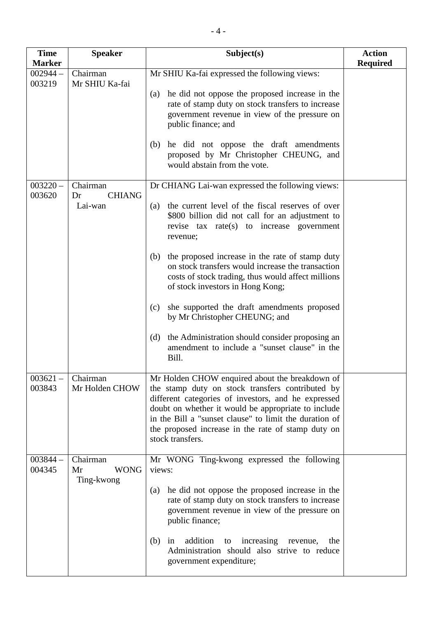| <b>Time</b><br><b>Marker</b> | <b>Speaker</b>                  | Subject(s)                                                                                                                                                                                                                                                                                                                                           | <b>Action</b>   |
|------------------------------|---------------------------------|------------------------------------------------------------------------------------------------------------------------------------------------------------------------------------------------------------------------------------------------------------------------------------------------------------------------------------------------------|-----------------|
| $002944 -$                   | Chairman                        | Mr SHIU Ka-fai expressed the following views:                                                                                                                                                                                                                                                                                                        | <b>Required</b> |
| 003219                       | Mr SHIU Ka-fai                  | he did not oppose the proposed increase in the<br>(a)<br>rate of stamp duty on stock transfers to increase<br>government revenue in view of the pressure on<br>public finance; and<br>he did not oppose the draft amendments<br>(b)                                                                                                                  |                 |
|                              |                                 | proposed by Mr Christopher CHEUNG, and<br>would abstain from the vote.                                                                                                                                                                                                                                                                               |                 |
| $003220 -$<br>003620         | Chairman<br><b>CHIANG</b><br>Dr | Dr CHIANG Lai-wan expressed the following views:                                                                                                                                                                                                                                                                                                     |                 |
|                              | Lai-wan                         | the current level of the fiscal reserves of over<br>(a)<br>\$800 billion did not call for an adjustment to<br>revise tax rate(s) to increase government<br>revenue;                                                                                                                                                                                  |                 |
|                              |                                 | the proposed increase in the rate of stamp duty<br>(b)<br>on stock transfers would increase the transaction<br>costs of stock trading, thus would affect millions<br>of stock investors in Hong Kong;                                                                                                                                                |                 |
|                              |                                 | she supported the draft amendments proposed<br>(c)<br>by Mr Christopher CHEUNG; and                                                                                                                                                                                                                                                                  |                 |
|                              |                                 | the Administration should consider proposing an<br>(d)<br>amendment to include a "sunset clause" in the<br>Bill.                                                                                                                                                                                                                                     |                 |
| $003621 -$<br>003843         | Chairman<br>Mr Holden CHOW      | Mr Holden CHOW enquired about the breakdown of<br>the stamp duty on stock transfers contributed by<br>different categories of investors, and he expressed<br>doubt on whether it would be appropriate to include<br>in the Bill a "sunset clause" to limit the duration of<br>the proposed increase in the rate of stamp duty on<br>stock transfers. |                 |
| $003844 -$<br>004345         | Chairman<br><b>WONG</b><br>Mr   | Mr WONG Ting-kwong expressed the following<br>views:                                                                                                                                                                                                                                                                                                 |                 |
|                              | Ting-kwong                      | he did not oppose the proposed increase in the<br>(a)<br>rate of stamp duty on stock transfers to increase<br>government revenue in view of the pressure on<br>public finance;                                                                                                                                                                       |                 |
|                              |                                 | addition<br>increasing revenue,<br>(b)<br>in<br>to<br>the<br>Administration should also strive to reduce<br>government expenditure;                                                                                                                                                                                                                  |                 |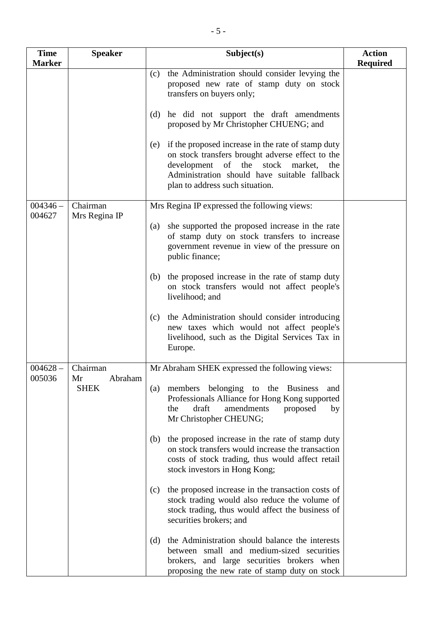| <b>Time</b><br><b>Marker</b> | <b>Speaker</b>               | Subject(s)                                                                                                                                                                                                                                     | <b>Action</b><br><b>Required</b> |
|------------------------------|------------------------------|------------------------------------------------------------------------------------------------------------------------------------------------------------------------------------------------------------------------------------------------|----------------------------------|
|                              |                              | the Administration should consider levying the<br>(c)<br>proposed new rate of stamp duty on stock<br>transfers on buyers only;                                                                                                                 |                                  |
|                              |                              | he did not support the draft amendments<br>(d)<br>proposed by Mr Christopher CHUENG; and                                                                                                                                                       |                                  |
|                              |                              | if the proposed increase in the rate of stamp duty<br>(e)<br>on stock transfers brought adverse effect to the<br>development<br>of the stock market,<br>the<br>Administration should have suitable fallback<br>plan to address such situation. |                                  |
| $004346 -$                   | Chairman                     | Mrs Regina IP expressed the following views:                                                                                                                                                                                                   |                                  |
| 004627                       | Mrs Regina IP                | she supported the proposed increase in the rate<br>(a)<br>of stamp duty on stock transfers to increase<br>government revenue in view of the pressure on<br>public finance;                                                                     |                                  |
|                              |                              | the proposed increase in the rate of stamp duty<br>(b)<br>on stock transfers would not affect people's<br>livelihood; and                                                                                                                      |                                  |
|                              |                              | the Administration should consider introducing<br>(c)<br>new taxes which would not affect people's<br>livelihood, such as the Digital Services Tax in<br>Europe.                                                                               |                                  |
| $004628 -$                   | Chairman                     | Mr Abraham SHEK expressed the following views:                                                                                                                                                                                                 |                                  |
| 005036                       | Abraham<br>Mr<br><b>SHEK</b> | members belonging to the Business<br>$\left( a\right)$<br>and<br>Professionals Alliance for Hong Kong supported<br>draft<br>amendments<br>proposed<br>the<br>by<br>Mr Christopher CHEUNG;                                                      |                                  |
|                              |                              | the proposed increase in the rate of stamp duty<br>(b)<br>on stock transfers would increase the transaction<br>costs of stock trading, thus would affect retail<br>stock investors in Hong Kong;                                               |                                  |
|                              |                              | the proposed increase in the transaction costs of<br>(c)<br>stock trading would also reduce the volume of<br>stock trading, thus would affect the business of<br>securities brokers; and                                                       |                                  |
|                              |                              | the Administration should balance the interests<br>(d)<br>between small and medium-sized securities<br>brokers, and large securities brokers when<br>proposing the new rate of stamp duty on stock                                             |                                  |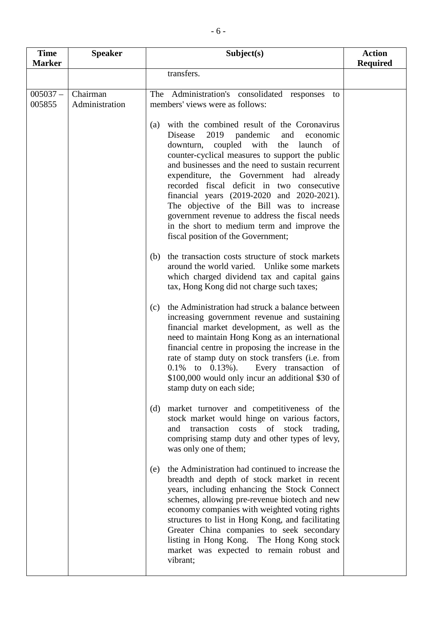| <b>Time</b>          | <b>Speaker</b>             | Subject(s)                                                                                                                                                                                                                                                                                                                                                                                                                                                                                                                                                                     | <b>Action</b>   |
|----------------------|----------------------------|--------------------------------------------------------------------------------------------------------------------------------------------------------------------------------------------------------------------------------------------------------------------------------------------------------------------------------------------------------------------------------------------------------------------------------------------------------------------------------------------------------------------------------------------------------------------------------|-----------------|
| <b>Marker</b>        |                            |                                                                                                                                                                                                                                                                                                                                                                                                                                                                                                                                                                                | <b>Required</b> |
|                      |                            | transfers.                                                                                                                                                                                                                                                                                                                                                                                                                                                                                                                                                                     |                 |
| $005037 -$<br>005855 | Chairman<br>Administration | The Administration's consolidated responses to<br>members' views were as follows:                                                                                                                                                                                                                                                                                                                                                                                                                                                                                              |                 |
|                      |                            | with the combined result of the Coronavirus<br>(a)<br>2019 pandemic<br>Disease<br>and<br>economic<br>downturn, coupled with<br>the launch of<br>counter-cyclical measures to support the public<br>and businesses and the need to sustain recurrent<br>expenditure, the Government had already<br>recorded fiscal deficit in two consecutive<br>financial years (2019-2020 and 2020-2021).<br>The objective of the Bill was to increase<br>government revenue to address the fiscal needs<br>in the short to medium term and improve the<br>fiscal position of the Government; |                 |
|                      |                            | the transaction costs structure of stock markets<br>(b)<br>around the world varied. Unlike some markets<br>which charged dividend tax and capital gains<br>tax, Hong Kong did not charge such taxes;                                                                                                                                                                                                                                                                                                                                                                           |                 |
|                      |                            | the Administration had struck a balance between<br>(c)<br>increasing government revenue and sustaining<br>financial market development, as well as the<br>need to maintain Hong Kong as an international<br>financial centre in proposing the increase in the<br>rate of stamp duty on stock transfers (i.e. from<br>$0.1\%$ to $0.13\%$ ).<br>Every transaction of<br>\$100,000 would only incur an additional \$30 of<br>stamp duty on each side;                                                                                                                            |                 |
|                      |                            | market turnover and competitiveness of the<br>(d)<br>stock market would hinge on various factors,<br>transaction costs of stock<br>and<br>trading,<br>comprising stamp duty and other types of levy,<br>was only one of them;                                                                                                                                                                                                                                                                                                                                                  |                 |
|                      |                            | the Administration had continued to increase the<br>(e)<br>breadth and depth of stock market in recent<br>years, including enhancing the Stock Connect<br>schemes, allowing pre-revenue biotech and new<br>economy companies with weighted voting rights<br>structures to list in Hong Kong, and facilitating<br>Greater China companies to seek secondary<br>listing in Hong Kong. The Hong Kong stock<br>market was expected to remain robust and<br>vibrant;                                                                                                                |                 |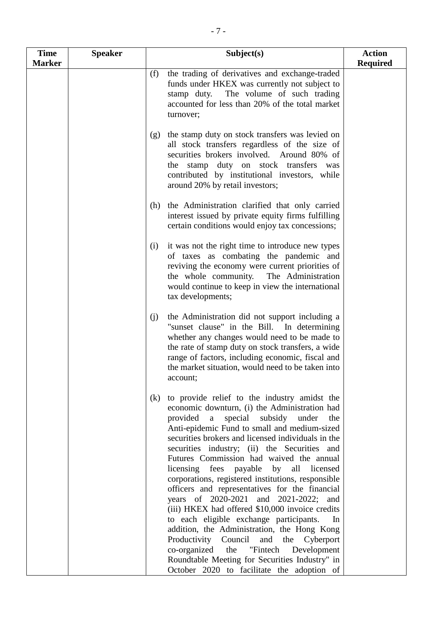| <b>Time</b>   | <b>Speaker</b> | Subject(s)                                                                                                                                                                                                                                                                                                                                                                                                                                                                                                                                                                                                                                                                                                                                                                                                                                                                                               | <b>Action</b>   |
|---------------|----------------|----------------------------------------------------------------------------------------------------------------------------------------------------------------------------------------------------------------------------------------------------------------------------------------------------------------------------------------------------------------------------------------------------------------------------------------------------------------------------------------------------------------------------------------------------------------------------------------------------------------------------------------------------------------------------------------------------------------------------------------------------------------------------------------------------------------------------------------------------------------------------------------------------------|-----------------|
| <b>Marker</b> |                | the trading of derivatives and exchange-traded<br>(f)<br>funds under HKEX was currently not subject to<br>The volume of such trading<br>stamp duty.<br>accounted for less than 20% of the total market<br>turnover;                                                                                                                                                                                                                                                                                                                                                                                                                                                                                                                                                                                                                                                                                      | <b>Required</b> |
|               |                | the stamp duty on stock transfers was levied on<br>(g)<br>all stock transfers regardless of the size of<br>securities brokers involved. Around 80% of<br>the stamp duty on stock transfers was<br>contributed by institutional investors, while<br>around 20% by retail investors;                                                                                                                                                                                                                                                                                                                                                                                                                                                                                                                                                                                                                       |                 |
|               |                | the Administration clarified that only carried<br>(h)<br>interest issued by private equity firms fulfilling<br>certain conditions would enjoy tax concessions;                                                                                                                                                                                                                                                                                                                                                                                                                                                                                                                                                                                                                                                                                                                                           |                 |
|               |                | it was not the right time to introduce new types<br>(i)<br>of taxes as combating the pandemic and<br>reviving the economy were current priorities of<br>The Administration<br>the whole community.<br>would continue to keep in view the international<br>tax developments;                                                                                                                                                                                                                                                                                                                                                                                                                                                                                                                                                                                                                              |                 |
|               |                | the Administration did not support including a<br>(j)<br>"sunset clause" in the Bill.<br>In determining<br>whether any changes would need to be made to<br>the rate of stamp duty on stock transfers, a wide<br>range of factors, including economic, fiscal and<br>the market situation, would need to be taken into<br>account;                                                                                                                                                                                                                                                                                                                                                                                                                                                                                                                                                                        |                 |
|               |                | to provide relief to the industry amidst the<br>(k)<br>economic downturn, (i) the Administration had<br>provided a<br>special<br>subsidy under<br>the<br>Anti-epidemic Fund to small and medium-sized<br>securities brokers and licensed individuals in the<br>securities industry; (ii) the Securities and<br>Futures Commission had waived the annual<br>licensing fees payable by all licensed<br>corporations, registered institutions, responsible<br>officers and representatives for the financial<br>years of 2020-2021 and 2021-2022; and<br>(iii) HKEX had offered \$10,000 invoice credits<br>to each eligible exchange participants.<br>In.<br>addition, the Administration, the Hong Kong<br>Productivity Council<br>and<br>the Cyberport<br>co-organized<br>"Fintech<br>the<br>Development<br>Roundtable Meeting for Securities Industry" in<br>October 2020 to facilitate the adoption of |                 |